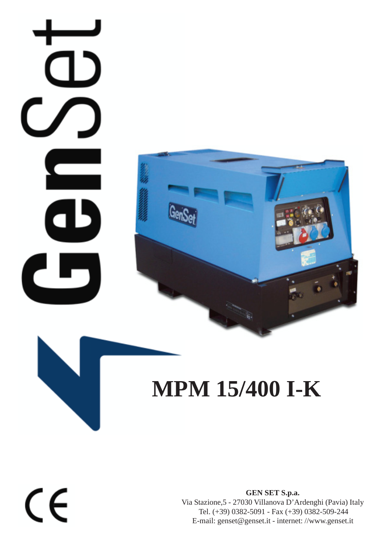## $\blacksquare$ a J ۲



## **MPM 15/400 I-K**

 $\epsilon$ 

**GEN SET S.p.a.** Via Stazione,5 - 27030 Villanova D'Ardenghi (Pavia) Italy Tel. (+39) 0382-5091 - Fax (+39) 0382-509-244 E-mail: genset@genset.it - internet: //www.genset.it